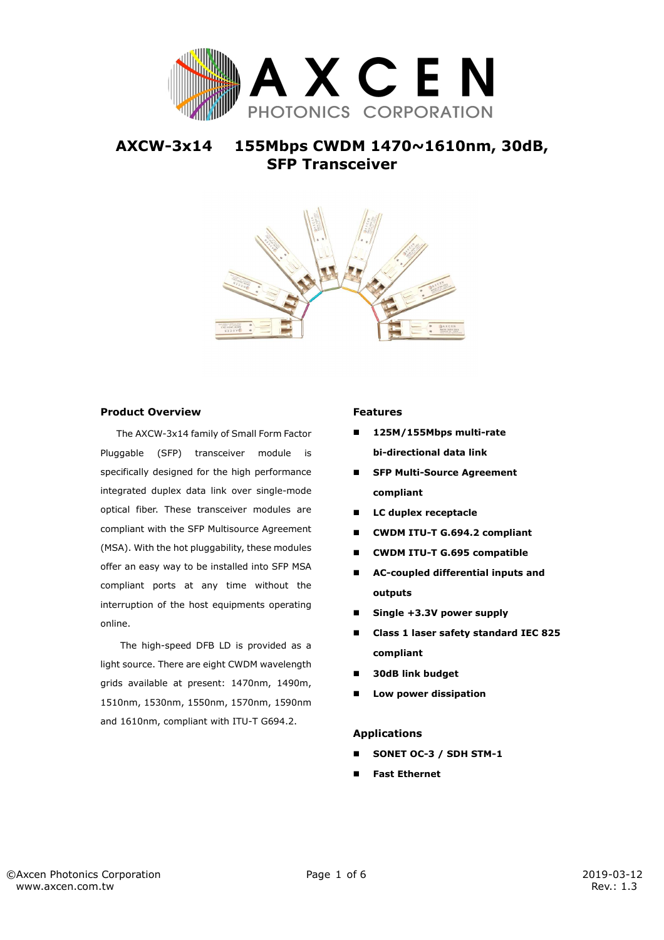

# **AXCW-3x14 155Mbps CWDM 1470~1610nm, 30dB, SFP Transceiver**



### **Product Overview**

The AXCW-3x14 family of Small Form Factor Pluggable (SFP) transceiver module is specifically designed for the high performance integrated duplex data link over single-mode optical fiber. These transceiver modules are compliant with the SFP Multisource Agreement (MSA). With the hot pluggability, these modules offer an easy way to be installed into SFP MSA compliant ports at any time without the interruption of the host equipments operating online.

The high-speed DFB LD is provided as a light source. There are eight CWDM wavelength grids available at present: 1470nm, 1490m, 1510nm, 1530nm, 1550nm, 1570nm, 1590nm and 1610nm, compliant with ITU-T G694.2.

#### **Features**

- **125M/155Mbps multi-rate bi-directional data link**
- **SFP Multi-Source Agreement compliant**
- **LC duplex receptacle**
- **CWDM ITU-T G.694.2 compliant**
- **CWDM ITU-T G.695 compatible**
- **AC-coupled differential inputs and outputs**
- **Single +3.3V power supply**
- **Class 1 laser safety standard IEC 825 compliant**
- **30dB link budget**
- **Low power dissipation**

#### **Applications**

- **SONET OC-3 / SDH STM-1**
- **Fast Ethernet**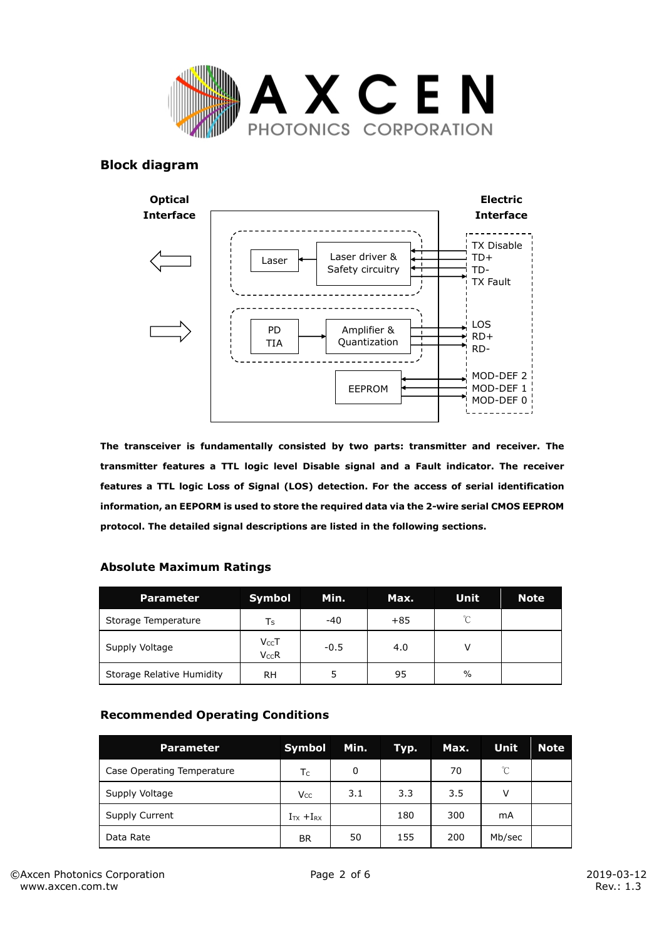

## **Block diagram**



**The transceiver is fundamentally consisted by two parts: transmitter and receiver. The transmitter features a TTL logic level Disable signal and a Fault indicator. The receiver features a TTL logic Loss of Signal (LOS) detection. For the access of serial identification information, an EEPORM is used to store the required data via the 2-wire serial CMOS EEPROM protocol. The detailed signal descriptions are listed in the following sections.** 

### **Absolute Maximum Ratings**

| <b>Parameter</b>          | <b>Symbol</b>           | Min.   | Max.  | Unit     | <b>Note</b> |
|---------------------------|-------------------------|--------|-------|----------|-------------|
| Storage Temperature       | Ts                      | -40    | $+85$ | $\gamma$ |             |
| Supply Voltage            | $V_{CC}$ T<br>$V_{CC}R$ | $-0.5$ | 4.0   |          |             |
| Storage Relative Humidity | RН                      |        | 95    | $\%$     |             |

## **Recommended Operating Conditions**

| <b>Parameter</b>           | Symbol              | Min. | Typ. | Max. | <b>Unit</b>  | <b>Note</b> |
|----------------------------|---------------------|------|------|------|--------------|-------------|
| Case Operating Temperature | T <sub>C</sub>      | 0    |      | 70   | $^{\circ}$ C |             |
| Supply Voltage             | <b>Vcc</b>          | 3.1  | 3.3  | 3.5  | V            |             |
| Supply Current             | $I_{TX}$ + $I_{RX}$ |      | 180  | 300  | mA           |             |
| Data Rate                  | BR                  | 50   | 155  | 200  | Mb/sec       |             |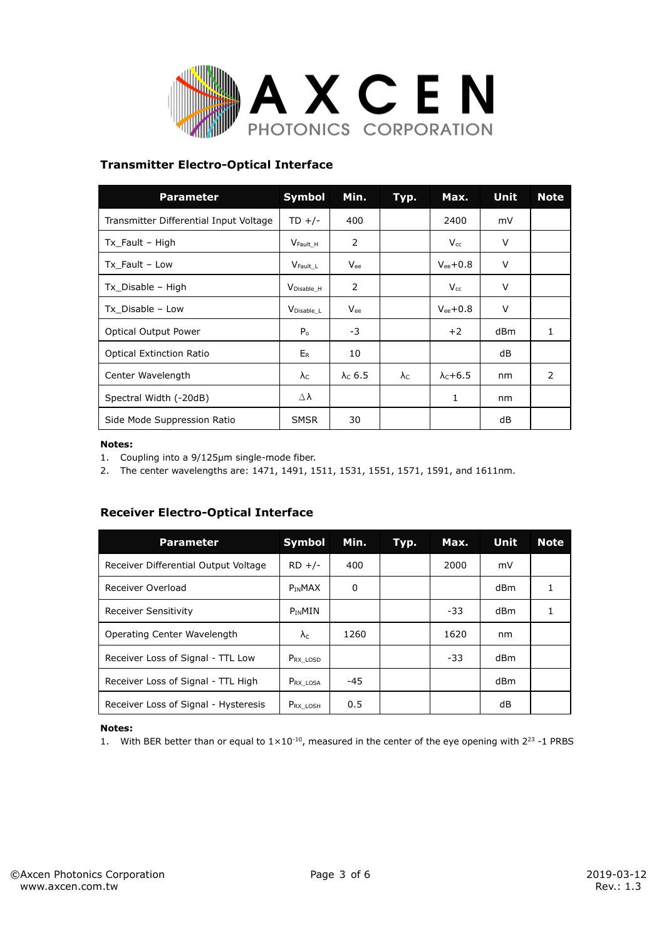

## **Transmitter Electro-Optical Interface**

| <b>Parameter</b>                       | <b>Symbol</b>          | Min.            | Typ.        | Max.            | <b>Unit</b> | <b>Note</b> |
|----------------------------------------|------------------------|-----------------|-------------|-----------------|-------------|-------------|
| Transmitter Differential Input Voltage | $TD$ +/-               | 400             |             | 2400            | mV          |             |
| $Tx$ Fault – High                      | V <sub>Fault</sub> H   | 2               |             | $V_{cc}$        | V           |             |
| Tx Fault - Low                         | $V_{\text{Fault}\_L}$  | Vee             |             | $V_{ee}$ +0.8   | V           |             |
| Tx Disable - High                      | $V_{Disable_H}$        | 2               |             | $V_{cc}$        | $\vee$      |             |
| Tx Disable - Low                       | V <sub>Disable</sub> L | $V_{ee}$        |             | $V_{ee}$ +0.8   | V           |             |
| Optical Output Power                   | P <sub>o</sub>         | -3              |             | $+2$            | dBm         | 1           |
| <b>Optical Extinction Ratio</b>        | ER                     | 10              |             |                 | dB          |             |
| Center Wavelength                      | $\lambda$ c            | $\lambda$ c 6.5 | $\lambda$ c | $\lambda$ c+6.5 | nm          | 2           |
| Spectral Width (-20dB)                 | $\Delta \lambda$       |                 |             | 1               | nm          |             |
| Side Mode Suppression Ratio            | <b>SMSR</b>            | 30              |             |                 | dB          |             |

#### **Notes:**

1. Coupling into a 9/125μm single-mode fiber.

2. The center wavelengths are: 1471, 1491, 1511, 1531, 1551, 1571, 1591, and 1611nm.

## **Receiver Electro-Optical Interface**

| <b>Parameter</b>                     | Symbol         | Min.  | Тур. | Max.  | <b>Unit</b>     | <b>Note</b> |
|--------------------------------------|----------------|-------|------|-------|-----------------|-------------|
| Receiver Differential Output Voltage | $RD +/-$       | 400   |      | 2000  | mV              |             |
| Receiver Overload                    | <b>PINMAX</b>  | 0     |      |       | d <sub>Bm</sub> |             |
| <b>Receiver Sensitivity</b>          | PINMIN         |       |      | $-33$ | d <sub>Bm</sub> |             |
| Operating Center Wavelength          | $\lambda_c$    | 1260  |      | 1620  | nm              |             |
| Receiver Loss of Signal - TTL Low    | PRX LOSD       |       |      | $-33$ | d <sub>Bm</sub> |             |
| Receiver Loss of Signal - TTL High   | PRX LOSA       | $-45$ |      |       | d <sub>Bm</sub> |             |
| Receiver Loss of Signal - Hysteresis | $P_{RX\_LOSH}$ | 0.5   |      |       | dB              |             |

#### **Notes:**

1. With BER better than or equal to  $1 \times 10^{-10}$ , measured in the center of the eye opening with  $2^{23}$  -1 PRBS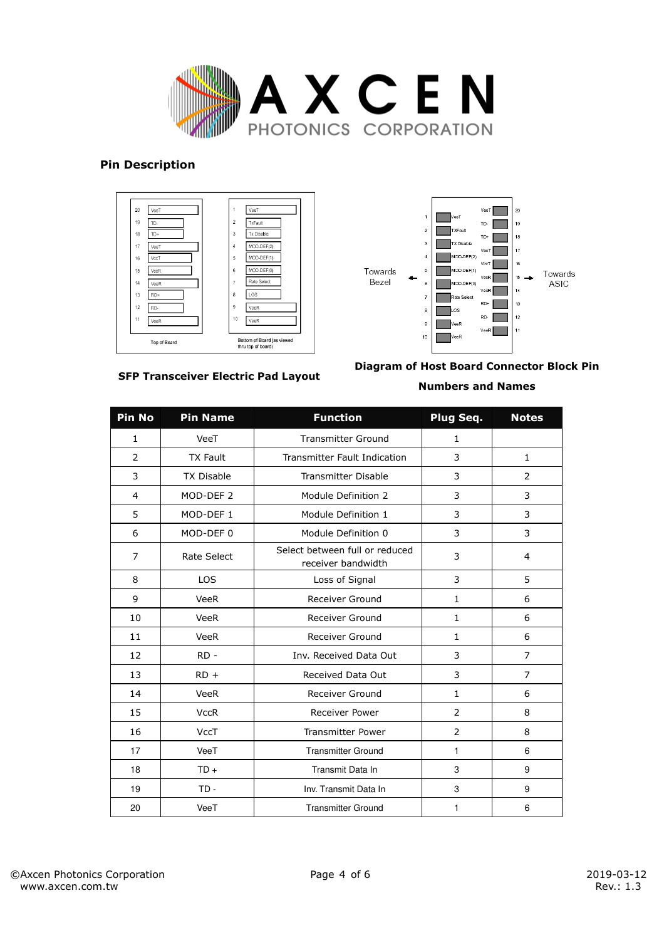

### **Pin Description**





**SFP Transceiver Electric Pad Layout** 

# **Diagram of Host Board Connector Block Pin**

### **Numbers and Names**

| <b>Pin No</b>  | <b>Pin Name</b>      | <b>Function</b>                                      | Plug Seq.      | <b>Notes</b>   |
|----------------|----------------------|------------------------------------------------------|----------------|----------------|
| $\mathbf{1}$   | VeeT                 | <b>Transmitter Ground</b>                            | $\mathbf{1}$   |                |
| $\mathcal{P}$  | <b>TX Fault</b>      | <b>Transmitter Fault Indication</b>                  | 3              | $\mathbf{1}$   |
| 3              | <b>TX Disable</b>    | <b>Transmitter Disable</b>                           | 3              | $\overline{2}$ |
| 4              | MOD-DEF <sub>2</sub> | Module Definition 2                                  | 3              | 3              |
| 5              | MOD-DEF 1            | Module Definition 1                                  | 3              | 3              |
| 6              | MOD-DEF 0            | Module Definition 0                                  | 3              | 3              |
| $\overline{7}$ | <b>Rate Select</b>   | Select between full or reduced<br>receiver bandwidth | 3              | 4              |
| 8              | <b>LOS</b>           | Loss of Signal                                       | 3              | 5              |
| 9              | <b>VeeR</b>          | <b>Receiver Ground</b>                               | $\mathbf{1}$   | 6              |
| 10             | <b>VeeR</b>          | Receiver Ground                                      | $\mathbf{1}$   | 6              |
| 11             | <b>VeeR</b>          | <b>Receiver Ground</b>                               | $\mathbf{1}$   | 6              |
| 12             | $RD -$               | Inv. Received Data Out                               | 3              | $\overline{7}$ |
| 13             | $RD +$               | Received Data Out                                    | 3              | $\overline{7}$ |
| 14             | <b>VeeR</b>          | Receiver Ground                                      | $\mathbf{1}$   | 6              |
| 15             | <b>VccR</b>          | Receiver Power                                       | 2              | 8              |
| 16             | <b>VccT</b>          | <b>Transmitter Power</b>                             | $\overline{2}$ | 8              |
| 17             | VeeT                 | <b>Transmitter Ground</b>                            | 1              | 6              |
| 18             | $TD +$               | Transmit Data In                                     | 3              | 9              |
| 19             | $TD -$               | Inv. Transmit Data In                                | 3              | 9              |
| 20             | VeeT                 | <b>Transmitter Ground</b>                            | 1              | 6              |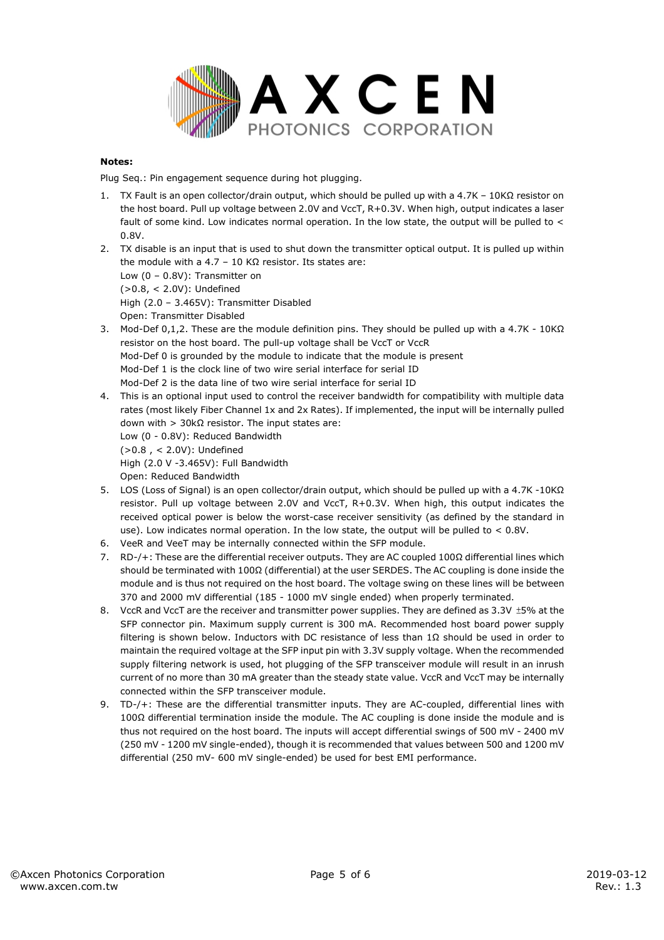

#### **Notes:**

Plug Seq.: Pin engagement sequence during hot plugging.

- 1. TX Fault is an open collector/drain output, which should be pulled up with a 4.7K 10KΩ resistor on the host board. Pull up voltage between 2.0V and VccT, R+0.3V. When high, output indicates a laser fault of some kind. Low indicates normal operation. In the low state, the output will be pulled to < 0.8V.
- 2. TX disable is an input that is used to shut down the transmitter optical output. It is pulled up within the module with a 4.7 – 10 KΩ resistor. Its states are: Low (0 – 0.8V): Transmitter on (>0.8, < 2.0V): Undefined High (2.0 – 3.465V): Transmitter Disabled Open: Transmitter Disabled
- 3. Mod-Def 0,1,2. These are the module definition pins. They should be pulled up with a 4.7K 10KΩ resistor on the host board. The pull-up voltage shall be VccT or VccR Mod-Def 0 is grounded by the module to indicate that the module is present Mod-Def 1 is the clock line of two wire serial interface for serial ID Mod-Def 2 is the data line of two wire serial interface for serial ID
- 4. This is an optional input used to control the receiver bandwidth for compatibility with multiple data rates (most likely Fiber Channel 1x and 2x Rates). If implemented, the input will be internally pulled down with > 30kΩ resistor. The input states are: Low (0 - 0.8V): Reduced Bandwidth
	- (>0.8 , < 2.0V): Undefined

High (2.0 V -3.465V): Full Bandwidth

Open: Reduced Bandwidth

- 5. LOS (Loss of Signal) is an open collector/drain output, which should be pulled up with a 4.7K -10KΩ resistor. Pull up voltage between 2.0V and VccT, R+0.3V. When high, this output indicates the received optical power is below the worst-case receiver sensitivity (as defined by the standard in use). Low indicates normal operation. In the low state, the output will be pulled to  $< 0.8V$ .
- 6. VeeR and VeeT may be internally connected within the SFP module.
- 7. RD-/+: These are the differential receiver outputs. They are AC coupled 100Ω differential lines which should be terminated with 100Ω (differential) at the user SERDES. The AC coupling is done inside the module and is thus not required on the host board. The voltage swing on these lines will be between 370 and 2000 mV differential (185 - 1000 mV single ended) when properly terminated.
- 8. VccR and VccT are the receiver and transmitter power supplies. They are defined as 3.3V ±5% at the SFP connector pin. Maximum supply current is 300 mA. Recommended host board power supply filtering is shown below. Inductors with DC resistance of less than 1Ω should be used in order to maintain the required voltage at the SFP input pin with 3.3V supply voltage. When the recommended supply filtering network is used, hot plugging of the SFP transceiver module will result in an inrush current of no more than 30 mA greater than the steady state value. VccR and VccT may be internally connected within the SFP transceiver module.
- 9. TD-/+: These are the differential transmitter inputs. They are AC-coupled, differential lines with 100Ω differential termination inside the module. The AC coupling is done inside the module and is thus not required on the host board. The inputs will accept differential swings of 500 mV - 2400 mV (250 mV - 1200 mV single-ended), though it is recommended that values between 500 and 1200 mV differential (250 mV- 600 mV single-ended) be used for best EMI performance.